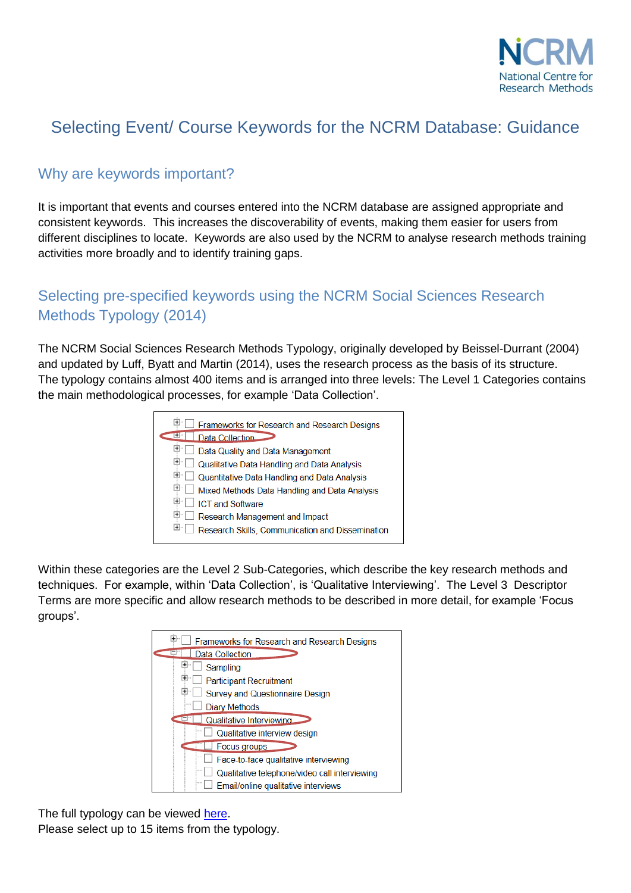

## Selecting Event/ Course Keywords for the NCRM Database: Guidance

## Why are keywords important?

It is important that events and courses entered into the NCRM database are assigned appropriate and consistent keywords. This increases the discoverability of events, making them easier for users from different disciplines to locate. Keywords are also used by the NCRM to analyse research methods training activities more broadly and to identify training gaps.

## Selecting pre-specified keywords using the NCRM Social Sciences Research Methods Typology (2014)

The NCRM Social Sciences Research Methods Typology, originally developed by Beissel-Durrant (2004) and updated by Luff, Byatt and Martin (2014), uses the research process as the basis of its structure. The typology contains almost 400 items and is arranged into three levels: The Level 1 Categories contains the main methodological processes, for example 'Data Collection'.

|     | Frameworks for Research and Research Designs       |
|-----|----------------------------------------------------|
|     | Data Collection                                    |
| H.  | Data Quality and Data Management                   |
|     | $\Box$ Qualitative Data Handling and Data Analysis |
|     | Quantitative Data Handling and Data Analysis       |
|     | Mixed Methods Data Handling and Data Analysis      |
| $+$ | <b>ICT and Software</b>                            |
| $+$ | Research Management and Impact                     |
| $+$ | Research Skills, Communication and Dissemination   |

Within these categories are the Level 2 Sub-Categories, which describe the key research methods and techniques. For example, within 'Data Collection', is 'Qualitative Interviewing'. The Level 3 Descriptor Terms are more specific and allow research methods to be described in more detail, for example 'Focus groups'.

| $\overline{+}$<br>Frameworks for Research and Research Designs |
|----------------------------------------------------------------|
| Data Collection                                                |
| Sampling                                                       |
| ⊬<br><b>Participant Recruitment</b>                            |
| $\pm$<br><b>Survey and Questionnaire Design</b>                |
| Diary Methods                                                  |
| Qualitative Interviewing                                       |
| Qualitative interview design                                   |
| <b>Focus groups</b>                                            |
| Face-to-face qualitative interviewing                          |
| Qualitative telephone/video call interviewing                  |
| Email/online qualitative interviews                            |

The full typology can be viewed [here.](http://www.ncrm.ac.uk/training/Typology.pdf) Please select up to 15 items from the typology.